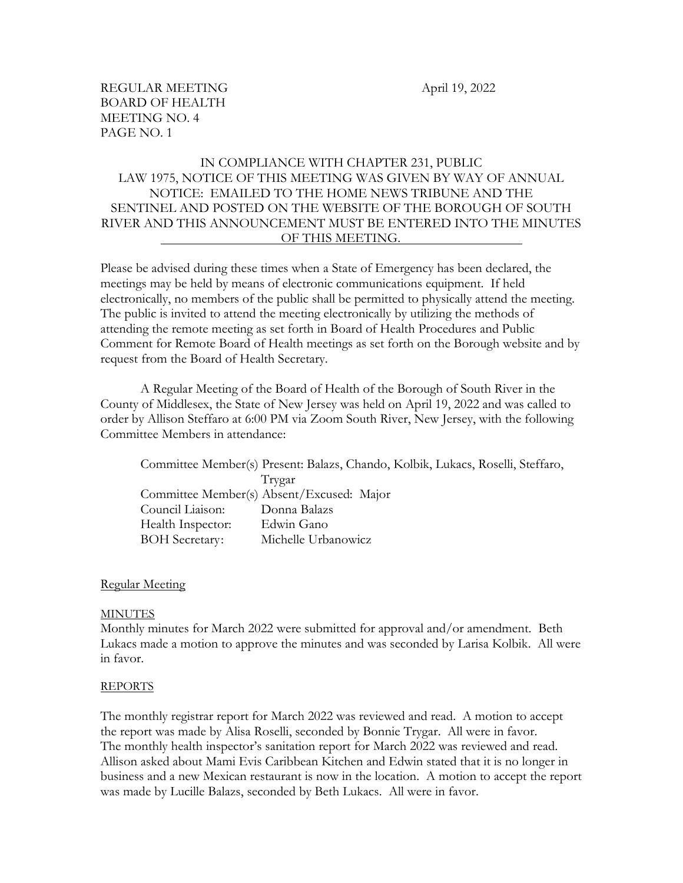# IN COMPLIANCE WITH CHAPTER 231, PUBLIC LAW 1975, NOTICE OF THIS MEETING WAS GIVEN BY WAY OF ANNUAL NOTICE: EMAILED TO THE HOME NEWS TRIBUNE AND THE SENTINEL AND POSTED ON THE WEBSITE OF THE BOROUGH OF SOUTH RIVER AND THIS ANNOUNCEMENT MUST BE ENTERED INTO THE MINUTES OF THIS MEETING.

Please be advised during these times when a State of Emergency has been declared, the meetings may be held by means of electronic communications equipment. If held electronically, no members of the public shall be permitted to physically attend the meeting. The public is invited to attend the meeting electronically by utilizing the methods of attending the remote meeting as set forth in Board of Health Procedures and Public Comment for Remote Board of Health meetings as set forth on the Borough website and by request from the Board of Health Secretary.

A Regular Meeting of the Board of Health of the Borough of South River in the County of Middlesex, the State of New Jersey was held on April 19, 2022 and was called to order by Allison Steffaro at 6:00 PM via Zoom South River, New Jersey, with the following Committee Members in attendance:

Committee Member(s) Present: Balazs, Chando, Kolbik, Lukacs, Roselli, Steffaro, Trygar Committee Member(s) Absent/Excused: Major Council Liaison: Donna Balazs Health Inspector: Edwin Gano BOH Secretary: Michelle Urbanowicz

#### Regular Meeting

#### MINUTES

Monthly minutes for March 2022 were submitted for approval and/or amendment. Beth Lukacs made a motion to approve the minutes and was seconded by Larisa Kolbik. All were in favor.

#### REPORTS

The monthly registrar report for March 2022 was reviewed and read. A motion to accept the report was made by Alisa Roselli, seconded by Bonnie Trygar. All were in favor. The monthly health inspector's sanitation report for March 2022 was reviewed and read. Allison asked about Mami Evis Caribbean Kitchen and Edwin stated that it is no longer in business and a new Mexican restaurant is now in the location. A motion to accept the report was made by Lucille Balazs, seconded by Beth Lukacs. All were in favor.